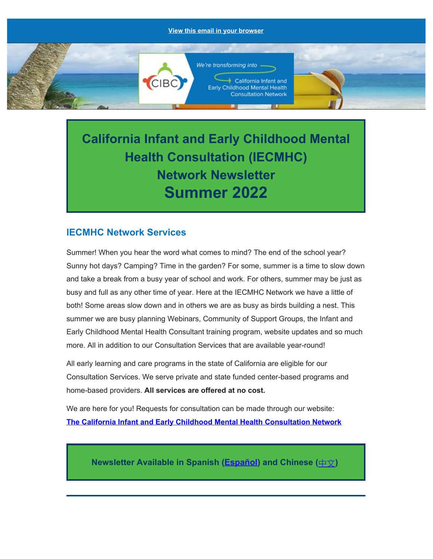#### **[View this email in your browser](file:///C:/Users/vmaravi/Downloads/*|ARCHIVE|*)**



**California Infant and Early Childhood Mental Health Consultation (IECMHC) Network Newsletter Summer 2022**

#### **IECMHC Network Services**

Summer! When you hear the word what comes to mind? The end of the school year? Sunny hot days? Camping? Time in the garden? For some, summer is a time to slow down and take a break from a busy year of school and work. For others, summer may be just as busy and full as any other time of year. Here at the IECMHC Network we have a little of both! Some areas slow down and in others we are as busy as birds building a nest. This summer we are busy planning Webinars, Community of Support Groups, the Infant and Early Childhood Mental Health Consultant training program, website updates and so much more. All in addition to our Consultation Services that are available year-round!

All early learning and care programs in the state of California are eligible for our Consultation Services. We serve private and state funded center-based programs and home-based providers. **All services are offered at no cost.**

We are here for you! Requests for consultation can be made through our website: **[The California Infant and Early Childhood Mental Health Consultation Network](https://www.cibc-ca.org/wp/)**

**Newsletter Available in Spanish ([Español\)](https://www.cibc-ca.org/wp/about/news/) and Chinese (**[中文](https://www.cibc-ca.org/wp/about/news/)**)**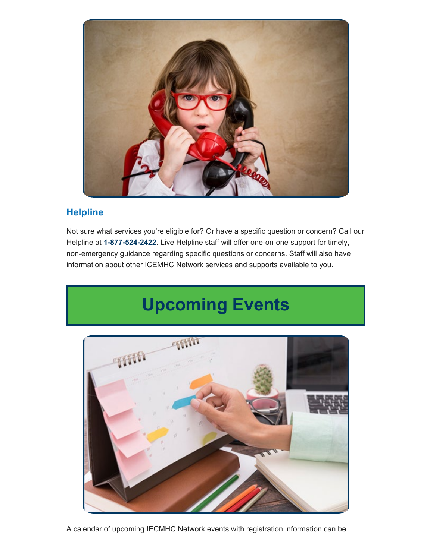

#### **Helpline**

Not sure what services you're eligible for? Or have a specific question or concern? Call our Helpline at **1-877-524-2422**. Live Helpline staff will offer one-on-one support for timely, non-emergency guidance regarding specific questions or concerns. Staff will also have information about other ICEMHC Network services and supports available to you.

# **Upcoming Events**



A calendar of upcoming IECMHC Network events with registration information can be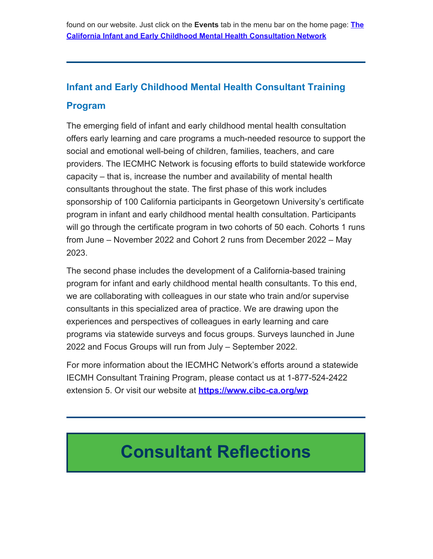found on our website. Just click on the **Events** tab in the menu bar on the home page: **[The](https://www.cibc-ca.org/wp/) [California Infant and Early Childhood Mental Health Consultation Network](https://www.cibc-ca.org/wp/)**

### **Infant and Early Childhood Mental Health Consultant Training**

#### **Program**

The emerging field of infant and early childhood mental health consultation offers early learning and care programs a much-needed resource to support the social and emotional well-being of children, families, teachers, and care providers. The IECMHC Network is focusing efforts to build statewide workforce capacity – that is, increase the number and availability of mental health consultants throughout the state. The first phase of this work includes sponsorship of 100 California participants in Georgetown University's certificate program in infant and early childhood mental health consultation. Participants will go through the certificate program in two cohorts of 50 each. Cohorts 1 runs from June – November 2022 and Cohort 2 runs from December 2022 – May 2023.

The second phase includes the development of a California-based training program for infant and early childhood mental health consultants. To this end, we are collaborating with colleagues in our state who train and/or supervise consultants in this specialized area of practice. We are drawing upon the experiences and perspectives of colleagues in early learning and care programs via statewide surveys and focus groups. Surveys launched in June 2022 and Focus Groups will run from July – September 2022.

For more information about the IECMHC Network's efforts around a statewide IECMH Consultant Training Program, please contact us at 1-877-524-2422 extension 5. Or visit our website at **<https://www.cibc-ca.org/wp>**

## **Consultant Reflections**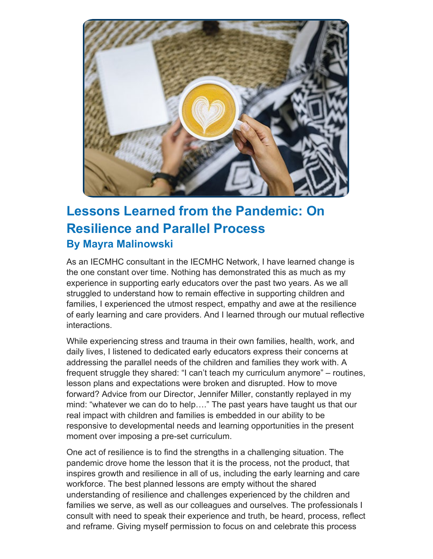

## **Lessons Learned from the Pandemic: On Resilience and Parallel Process By Mayra Malinowski**

As an IECMHC consultant in the IECMHC Network, I have learned change is the one constant over time. Nothing has demonstrated this as much as my experience in supporting early educators over the past two years. As we all struggled to understand how to remain effective in supporting children and families, I experienced the utmost respect, empathy and awe at the resilience of early learning and care providers. And I learned through our mutual reflective interactions.

While experiencing stress and trauma in their own families, health, work, and daily lives, I listened to dedicated early educators express their concerns at addressing the parallel needs of the children and families they work with. A frequent struggle they shared: "I can't teach my curriculum anymore" – routines, lesson plans and expectations were broken and disrupted. How to move forward? Advice from our Director, Jennifer Miller, constantly replayed in my mind: "whatever we can do to help…." The past years have taught us that our real impact with children and families is embedded in our ability to be responsive to developmental needs and learning opportunities in the present moment over imposing a pre-set curriculum.

One act of resilience is to find the strengths in a challenging situation. The pandemic drove home the lesson that it is the process, not the product, that inspires growth and resilience in all of us, including the early learning and care workforce. The best planned lessons are empty without the shared understanding of resilience and challenges experienced by the children and families we serve, as well as our colleagues and ourselves. The professionals I consult with need to speak their experience and truth, be heard, process, reflect and reframe. Giving myself permission to focus on and celebrate this process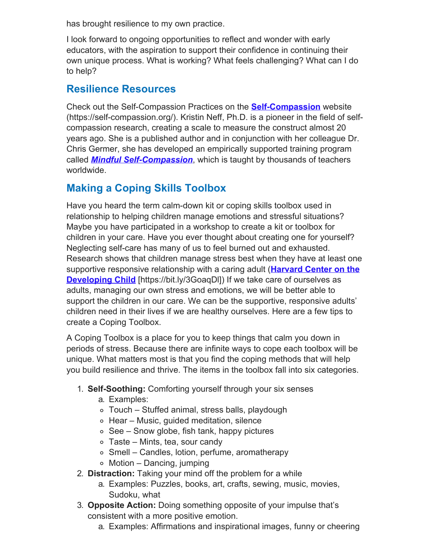has brought resilience to my own practice.

I look forward to ongoing opportunities to reflect and wonder with early educators, with the aspiration to support their confidence in continuing their own unique process. What is working? What feels challenging? What can I do to help?

### **Resilience Resources**

Check out the Self-Compassion Practices on the **[Self-Compassion](https://self-compassion.org/)** website (https://self-compassion.org/). Kristin Neff, Ph.D. is a pioneer in the field of selfcompassion research, creating a scale to measure the construct almost 20 years ago. She is a published author and in conjunction with her colleague Dr. Chris Germer, she has developed an empirically supported training program called *[Mindful Self-Compassion](https://centerformsc.org/train-msc/)*, which is taught by thousands of teachers worldwide.

### **Making a Coping Skills Toolbox**

Have you heard the term calm-down kit or coping skills toolbox used in relationship to helping children manage emotions and stressful situations? Maybe you have participated in a workshop to create a kit or toolbox for children in your care. Have you ever thought about creating one for yourself? Neglecting self-care has many of us to feel burned out and exhausted. Research shows that children manage stress best when they have at least one supportive responsive relationship with a caring adult (**[Harvard Center on the](https://developingchild.harvard.edu/science/key-concepts/toxic-stress/) [Developing Child](https://developingchild.harvard.edu/science/key-concepts/toxic-stress/)** [https://bit.ly/3GoagDI]) If we take care of ourselves as adults, managing our own stress and emotions, we will be better able to support the children in our care. We can be the supportive, responsive adults' children need in their lives if we are healthy ourselves. Here are a few tips to create a Coping Toolbox.

A Coping Toolbox is a place for you to keep things that calm you down in periods of stress. Because there are infinite ways to cope each toolbox will be unique. What matters most is that you find the coping methods that will help you build resilience and thrive. The items in the toolbox fall into six categories.

- 1. **Self-Soothing:** Comforting yourself through your six senses
	- a. Examples:
	- Touch Stuffed animal, stress balls, playdough
	- $\circ$  Hear Music, guided meditation, silence
	- $\circ$  See Snow globe, fish tank, happy pictures
	- Taste Mints, tea, sour candy
	- Smell Candles, lotion, perfume, aromatherapy
	- $\circ$  Motion Dancing, jumping
- 2. **Distraction:** Taking your mind off the problem for a while
	- a. Examples: Puzzles, books, art, crafts, sewing, music, movies, Sudoku, what
- 3. **Opposite Action:** Doing something opposite of your impulse that's consistent with a more positive emotion.
	- a. Examples: Affirmations and inspirational images, funny or cheering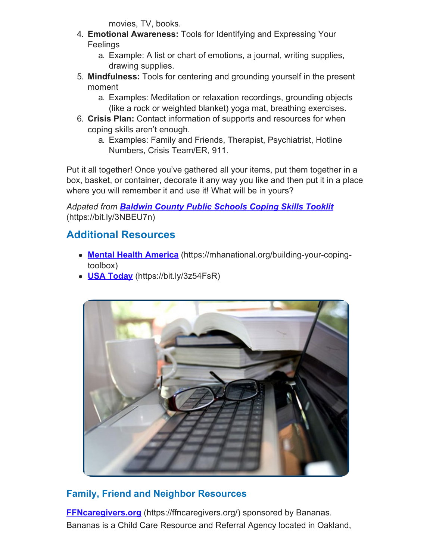movies, TV, books.

- 4. **Emotional Awareness:** Tools for Identifying and Expressing Your **Feelings** 
	- a. Example: A list or chart of emotions, a journal, writing supplies, drawing supplies.
- 5. **Mindfulness:** Tools for centering and grounding yourself in the present moment
	- a. Examples: Meditation or relaxation recordings, grounding objects (like a rock or weighted blanket) yoga mat, breathing exercises.
- 6. **Crisis Plan:** Contact information of supports and resources for when coping skills aren't enough.
	- a. Examples: Family and Friends, Therapist, Psychiatrist, Hotline Numbers, Crisis Team/ER, 911.

Put it all together! Once you've gathered all your items, put them together in a box, basket, or container, decorate it any way you like and then put it in a place where you will remember it and use it! What will be in yours?

*Adpated from [Baldwin County Public Schools Coping Skills Tooklit](https://www.bcbe.org/cms/lib/AL01901374/Centricity/Domain/1760/Coping%20Skills%20Toolkit.pdf)* (https://bit.ly/3NBEU7n)

### **Additional Resources**

- **[Mental Health America](https://mhanational.org/building-your-coping-toolbox)** (https://mhanational.org/building-your-copingtoolbox)
- **[USA Today](https://www.usatoday.com/story/tech/reviewedcom/2021/01/19/how-create-coping-toolbox-help-anxiety-according-doctors/4210418001/)** (https://bit.ly/3z54FsR)



### **Family, Friend and Neighbor Resources**

**[FFNcaregivers.org](https://ffncaregivers.org/)** (https://ffncaregivers.org/) sponsored by Bananas. Bananas is a Child Care Resource and Referral Agency located in Oakland,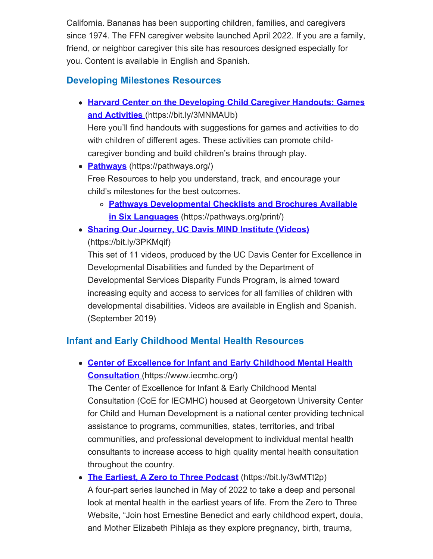California. Bananas has been supporting children, families, and caregivers since 1974. The FFN caregiver website launched April 2022. If you are a family, friend, or neighbor caregiver this site has resources designed especially for you. Content is available in English and Spanish.

### **Developing Milestones Resources**

**[Harvard Center on the Developing Child Caregiver Handouts: Games](https://pediatrics.developingchild.harvard.edu/resource/games-and-activities-caregiver-handouts/) [and Activities](https://pediatrics.developingchild.harvard.edu/resource/games-and-activities-caregiver-handouts/)** (https://bit.ly/3MNMAUb)

Here you'll find handouts with suggestions for games and activities to do with children of different ages. These activities can promote childcaregiver bonding and build children's brains through play.

- **[Pathways](https://pediatrics.developingchild.harvard.edu/resource/games-and-activities-caregiver-handouts/)** (https://pathways.org/) Free Resources to help you understand, track, and encourage your child's milestones for the best outcomes.
	- **[Pathways Developmental Checklists and Brochures Available](https://pathways.org/print/) [in Six Languages](https://pathways.org/print/)** (https://pathways.org/print/)
- **[Sharing Our Journey, UC Davis MIND Institute \(Videos\)](https://www.youtube.com/playlist?list=PLQnwECjj19Tr3bp1STUsxObEHJKHwtzta)** (https://bit.ly/3PKMqif)

This set of 11 videos, produced by the UC Davis Center for Excellence in Developmental Disabilities and funded by the Department of Developmental Services Disparity Funds Program, is aimed toward increasing equity and access to services for all families of children with developmental disabilities. Videos are available in English and Spanish. (September 2019)

### **Infant and Early Childhood Mental Health Resources**

**[Center of Excellence for Infant and Early Childhood Mental Health](https://pediatrics.developingchild.harvard.edu/resource/games-and-activities-caregiver-handouts/) [Consultation](https://pediatrics.developingchild.harvard.edu/resource/games-and-activities-caregiver-handouts/)** (https://www.iecmhc.org/)

The Center of Excellence for Infant & Early Childhood Mental Consultation (CoE for IECMHC) housed at Georgetown University Center for Child and Human Development is a national center providing technical assistance to programs, communities, states, territories, and tribal communities, and professional development to individual mental health consultants to increase access to high quality mental health consultation throughout the country.

**[The Earliest, A Zero to Three Podcast](https://www.zerotothree.org/resources/4381-the-earliest-a-new-podcast-from-zero-to-three)** (https://bit.ly/3wMTt2p) A four-part series launched in May of 2022 to take a deep and personal look at mental health in the earliest years of life. From the Zero to Three Website, "Join host Ernestine Benedict and early childhood expert, doula, and Mother Elizabeth Pihlaja as they explore pregnancy, birth, trauma,